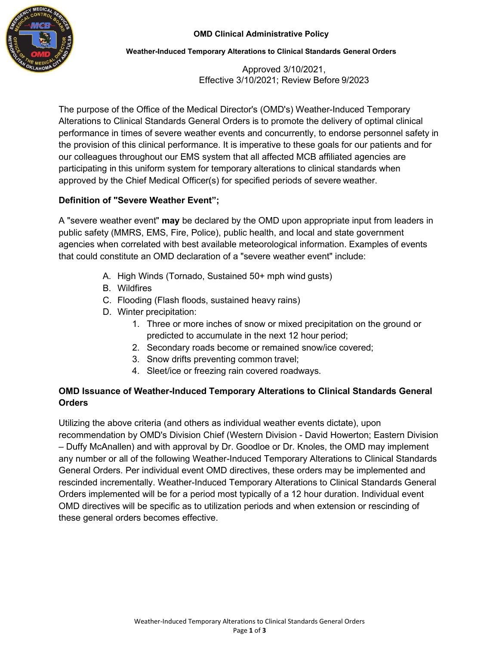

#### **Weather-Induced Temporary Alterations to Clinical Standards General Orders**

Approved 3/10/2021, Effective 3/10/2021; Review Before 9/2023

The purpose of the Office of the Medical Director's (OMD's) Weather-Induced Temporary Alterations to Clinical Standards General Orders is to promote the delivery of optimal clinical performance in times of severe weather events and concurrently, to endorse personnel safety in the provision of this clinical performance. It is imperative to these goals for our patients and for our colleagues throughout our EMS system that all affected MCB affiliated agencies are participating in this uniform system for temporary alterations to clinical standards when approved by the Chief Medical Officer(s) for specified periods of severe weather.

# **Definition of "Severe Weather Event";**

A "severe weather event" **may** be declared by the OMD upon appropriate input from leaders in public safety (MMRS, EMS, Fire, Police), public health, and local and state government agencies when correlated with best available meteorological information. Examples of events that could constitute an OMD declaration of a "severe weather event" include:

- A. High Winds (Tornado, Sustained 50+ mph wind gusts)
- B. Wildfires
- C. Flooding (Flash floods, sustained heavy rains)
- D. Winter precipitation:
	- 1. Three or more inches of snow or mixed precipitation on the ground or predicted to accumulate in the next 12 hour period;
	- 2. Secondary roads become or remained snow/ice covered;
	- 3. Snow drifts preventing common travel;
	- 4. Sleet/ice or freezing rain covered roadways.

# **OMD Issuance of Weather-Induced Temporary Alterations to Clinical Standards General Orders**

Utilizing the above criteria (and others as individual weather events dictate), upon recommendation by OMD's Division Chief (Western Division - David Howerton; Eastern Division – Duffy McAnallen) and with approval by Dr. Goodloe or Dr. Knoles, the OMD may implement any number or all of the following Weather-Induced Temporary Alterations to Clinical Standards General Orders. Per individual event OMD directives, these orders may be implemented and rescinded incrementally. Weather-Induced Temporary Alterations to Clinical Standards General Orders implemented will be for a period most typically of a 12 hour duration. Individual event OMD directives will be specific as to utilization periods and when extension or rescinding of these general orders becomes effective.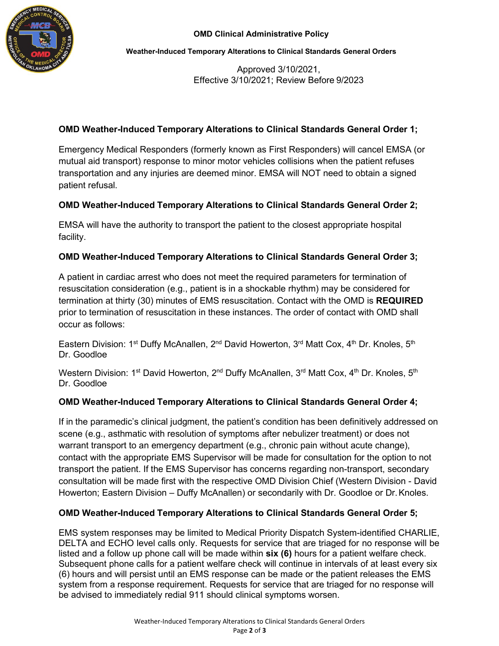

**Weather-Induced Temporary Alterations to Clinical Standards General Orders**

Approved 3/10/2021, Effective 3/10/2021; Review Before 9/2023

## **OMD Weather-Induced Temporary Alterations to Clinical Standards General Order 1;**

Emergency Medical Responders (formerly known as First Responders) will cancel EMSA (or mutual aid transport) response to minor motor vehicles collisions when the patient refuses transportation and any injuries are deemed minor. EMSA will NOT need to obtain a signed patient refusal.

#### **OMD Weather-Induced Temporary Alterations to Clinical Standards General Order 2;**

EMSA will have the authority to transport the patient to the closest appropriate hospital facility.

#### **OMD Weather-Induced Temporary Alterations to Clinical Standards General Order 3;**

A patient in cardiac arrest who does not meet the required parameters for termination of resuscitation consideration (e.g., patient is in a shockable rhythm) may be considered for termination at thirty (30) minutes of EMS resuscitation. Contact with the OMD is **REQUIRED**  prior to termination of resuscitation in these instances. The order of contact with OMD shall occur as follows:

Eastern Division: 1<sup>st</sup> Duffy McAnallen, 2<sup>nd</sup> David Howerton, 3<sup>rd</sup> Matt Cox, 4<sup>th</sup> Dr. Knoles, 5<sup>th</sup> Dr. Goodloe

Western Division: 1<sup>st</sup> David Howerton, 2<sup>nd</sup> Duffy McAnallen, 3<sup>rd</sup> Matt Cox, 4<sup>th</sup> Dr. Knoles, 5<sup>th</sup> Dr. Goodloe

#### **OMD Weather-Induced Temporary Alterations to Clinical Standards General Order 4;**

If in the paramedic's clinical judgment, the patient's condition has been definitively addressed on scene (e.g., asthmatic with resolution of symptoms after nebulizer treatment) or does not warrant transport to an emergency department (e.g., chronic pain without acute change), contact with the appropriate EMS Supervisor will be made for consultation for the option to not transport the patient. If the EMS Supervisor has concerns regarding non-transport, secondary consultation will be made first with the respective OMD Division Chief (Western Division - David Howerton; Eastern Division – Duffy McAnallen) or secondarily with Dr. Goodloe or Dr.Knoles.

#### **OMD Weather-Induced Temporary Alterations to Clinical Standards General Order 5;**

EMS system responses may be limited to Medical Priority Dispatch System-identified CHARLIE, DELTA and ECHO level calls only. Requests for service that are triaged for no response will be listed and a follow up phone call will be made within **six (6)** hours for a patient welfare check. Subsequent phone calls for a patient welfare check will continue in intervals of at least every six (6) hours and will persist until an EMS response can be made or the patient releases the EMS system from a response requirement. Requests for service that are triaged for no response will be advised to immediately redial 911 should clinical symptoms worsen.